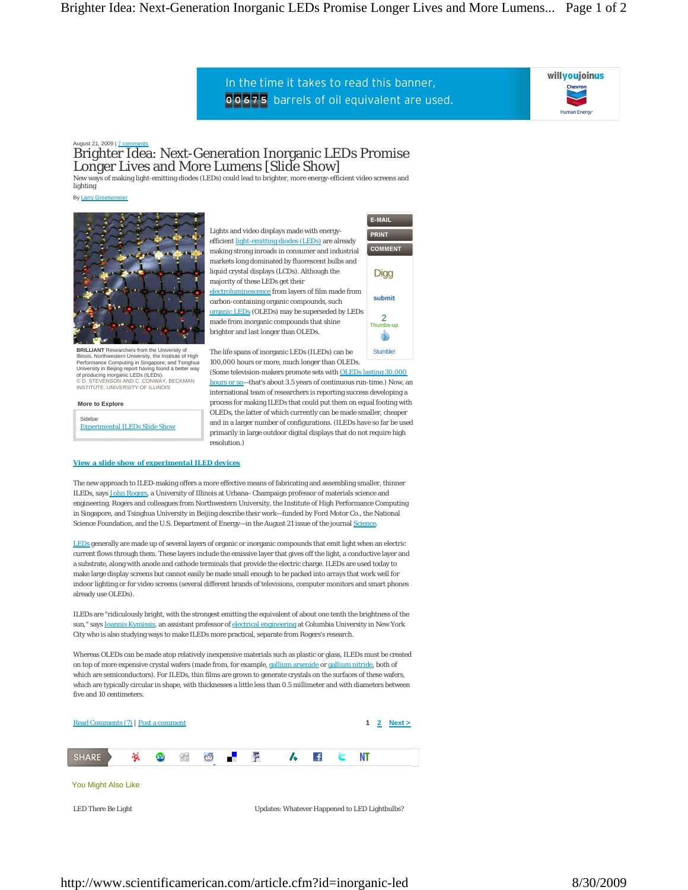In the time it takes to read this banner, 00675 barrels of oil equivalent are used.

**submit**

**Stumble!** 

sh

 $2$ <sub>mbs-up</sub>

**Digg** 

E-MAIL PRINT **COMMENT** 



August 21, 2009 | 7 com

## Brighter Idea: Next-Generation Inorganic LEDs Promise Longer Lives and More Lumens [Slide Show]

New ways of making light-emitting diodes (LEDs) could lead to brighter, more energy-efficient video screens and lighting

By Larry G



**BRILLIANT** Researchers from the University of Illinois, Northwestern University, the Institute of High Performance Computing in Singapore, and Tsinghua University in Beijing report having found a better way of producing inorganic LEDs (ILEDs). © D. STEVENSON AND C. CONWAY, BECKMAN INSTITUTE, UNIVERSITY OF ILLINOIS

*View a slide show of experimental ILED devices*

**More to Explore**

Sidebar Experimental ILEDs Slide Show Lights and video displays made with energyefficient light-emitting diodes (LEDs) are already making strong inroads in consumer and industrial markets long dominated by fluorescent bulbs and liquid crystal displays (LCDs). Although the majority of these LEDs get their electroluminescence from layers of film made from carbon-containing organic compounds, such organic LEDs (OLEDs) may be superseded by LEDs made from inorganic compounds that shine brighter and last longer than OLEDs.

The life spans of inorganic LEDs (ILEDs) can be 100,000 hours or more, much longer than OLEDs. (Some television-makers promote sets with OLEDs lasting 30,000

hours or so—that's about 3.5 years of continuous run-time.) Now, an international team of researchers is reporting success developing a process for making ILEDs that could put them on equal footing with OLEDs, the latter of which currently can be made smaller, cheaper and in a larger number of configurations. (ILEDs have so far be used primarily in large outdoor digital displays that do not require high resolution.)

The new approach to ILED-making offers a more effective means of fabricating and assembling smaller, thinner ILEDs, says John Rogers, a University of Illinois at Urbana–Champaign professor of materials science and engineering. Rogers and colleagues from Northwestern University, the Institute of High Performance Computing in Singapore, and Tsinghua University in Beijing describe their work—funded by Ford Motor Co., the National Science Foundation, and the U.S. Department of Energy—in the August 21 issue of the journal *Science*.

LEDs generally are made up of several layers of organic or inorganic compounds that emit light when an electric current flows through them. These layers include the emissive layer that gives off the light, a conductive layer and a substrate, along with anode and cathode terminals that provide the electric charge. ILEDs are used today to make large display screens but cannot easily be made small enough to be packed into arrays that work well for indoor lighting or for video screens (several different brands of televisions, computer monitors and smart phones already use OLEDs).

ILEDs are "ridiculously bright, with the strongest emitting the equivalent of about one tenth the brightness of the sun," says Ioannis Kymissis, an assistant professor of electrical engineering at Columbia University in New York City who is also studying ways to make ILEDs more practical, separate from Rogers's research.

Whereas OLEDs can be made atop relatively inexpensive materials such as plastic or glass, ILEDs must be created on top of more expensive crystal wafers (made from, for example, gallium arsenide or gallium nitride, both of which are semiconductors). For ILEDs, thin films are grown to generate crystals on the surfaces of these wafers, which are typically circular in shape, with thicknesses a little less than 0.5 millimeter and with diameters between five and 10 centimeters.



LED There Be Light Updates: Whatever Happened to LED Lightbulbs?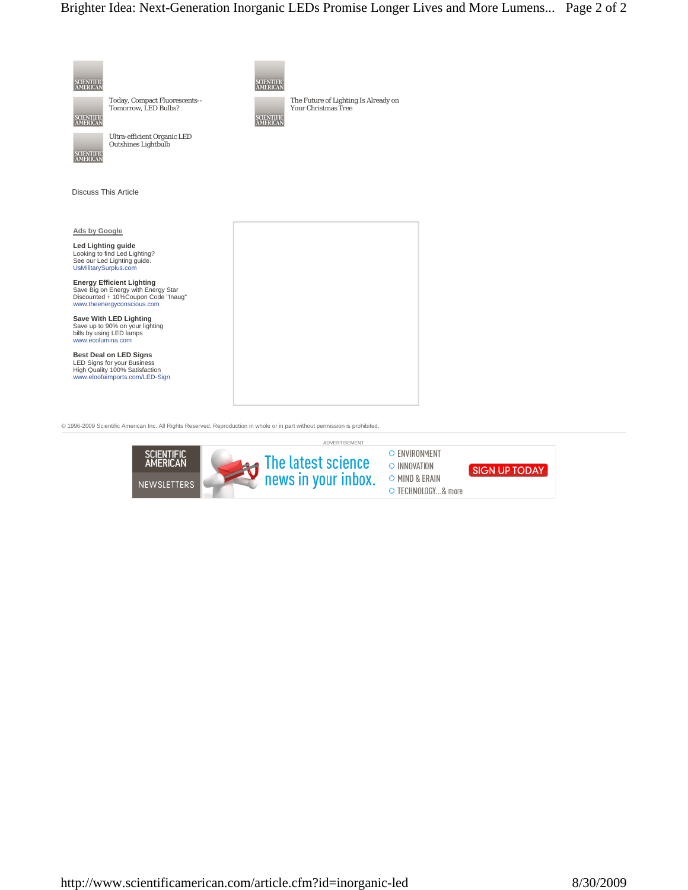

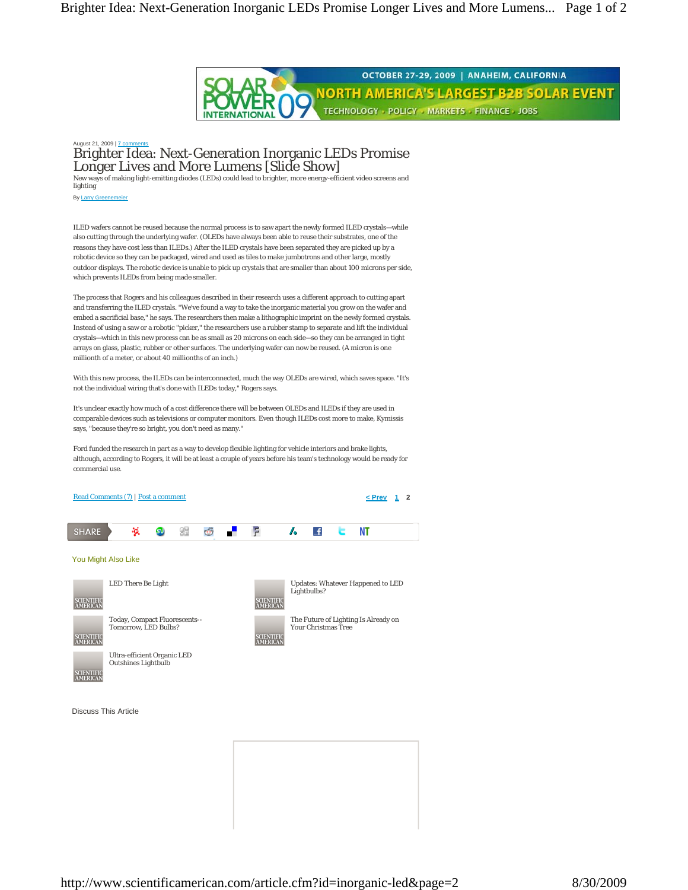

## agust 21, 2009 | 7 c Brighter Idea: Next-Generation Inorganic LEDs Promise Longer Lives and More Lumens [Slide Show]

New ways of making light-emitting diodes (LEDs) could lead to brighter, more energy-efficient video screens and lighting

By Larry Gre

ILED wafers cannot be reused because the normal process is to saw apart the newly formed ILED crystals—while also cutting through the underlying wafer. (OLEDs have always been able to reuse their substrates, one of the reasons they have cost less than ILEDs.) After the ILED crystals have been separated they are picked up by a robotic device so they can be packaged, wired and used as tiles to make jumbotrons and other large, mostly outdoor displays. The robotic device is unable to pick up crystals that are smaller than about 100 microns per side, which prevents ILEDs from being made smaller.

The process that Rogers and his colleagues described in their research uses a different approach to cutting apart and transferring the ILED crystals. "We've found a way to take the inorganic material you grow on the wafer and embed a sacrificial base," he says. The researchers then make a lithographic imprint on the newly formed crystals. Instead of using a saw or a robotic "picker," the researchers use a rubber stamp to separate and lift the individual crystals—which in this new process can be as small as 20 microns on each side—so they can be arranged in tight arrays on glass, plastic, rubber or other surfaces. The underlying wafer can now be reused. (A micron is one millionth of a meter, or about 40 millionths of an inch.)

With this new process, the ILEDs can be interconnected, much the way OLEDs are wired, which saves space. "It's not the individual wiring that's done with ILEDs today," Rogers says.

It's unclear exactly how much of a cost difference there will be between OLEDs and ILEDs if they are used in comparable devices such as televisions or computer monitors. Even though ILEDs cost more to make, Kymissis says, "because they're so bright, you don't need as many."

Ford funded the research in part as a way to develop flexible lighting for vehicle interiors and brake lights, although, according to Rogers, it will be at least a couple of years before his team's technology would be ready for commercial use.